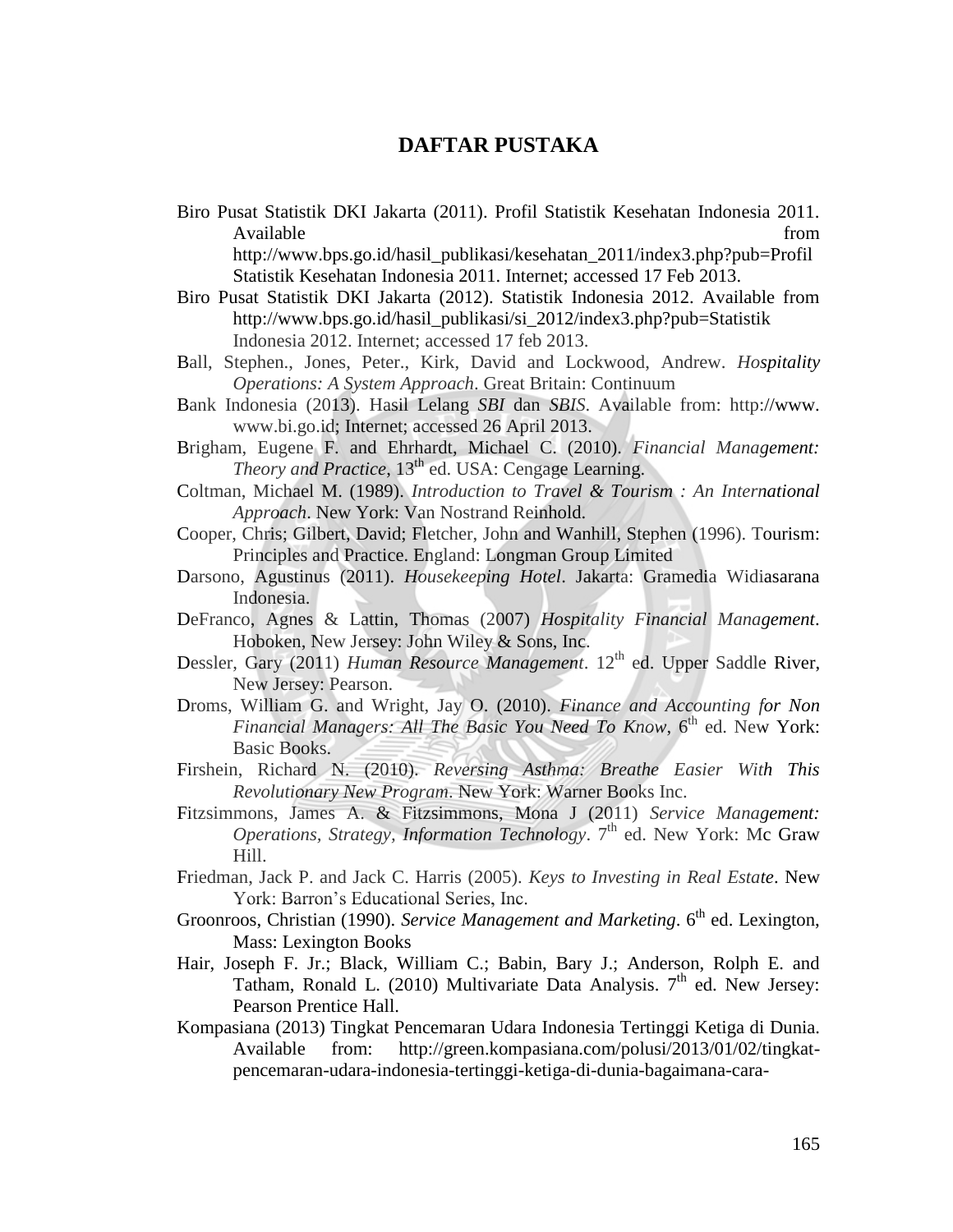## **DAFTAR PUSTAKA**

Biro Pusat Statistik DKI Jakarta (2011). Profil Statistik Kesehatan Indonesia 2011. Available from the state of the state of the state of the state of the state of the state of the state of the state of the state of the state of the state of the state of the state of the state of the state of the state of http://www.bps.go.id/hasil\_publikasi/kesehatan\_2011/index3.php?pub=Profil

Statistik Kesehatan Indonesia 2011. Internet; accessed 17 Feb 2013.

- Biro Pusat Statistik DKI Jakarta (2012). Statistik Indonesia 2012. Available from http://www.bps.go.id/hasil\_publikasi/si\_2012/index3.php?pub=Statistik Indonesia 2012. Internet; accessed 17 feb 2013.
- Ball, Stephen., Jones, Peter., Kirk, David and Lockwood, Andrew. *Hospitality Operations: A System Approach*. Great Britain: Continuum
- Bank Indonesia (2013). Hasil Lelang *SBI* dan *SBIS*. Available from: http://www. www.bi.go.id; Internet; accessed 26 April 2013.
- Brigham, Eugene F. and Ehrhardt, Michael C. (2010). *Financial Management: Theory and Practice*, 13<sup>th</sup> ed. USA: Cengage Learning.
- Coltman, Michael M. (1989). *Introduction to Travel & Tourism : An International Approach*. New York: Van Nostrand Reinhold.
- Cooper, Chris; Gilbert, David; Fletcher, John and Wanhill, Stephen (1996). Tourism: Principles and Practice. England: Longman Group Limited
- Darsono, Agustinus (2011). *Housekeeping Hotel*. Jakarta: Gramedia Widiasarana Indonesia.
- DeFranco, Agnes & Lattin, Thomas (2007) *Hospitality Financial Management*. Hoboken, New Jersey: John Wiley & Sons, Inc.
- Dessler, Gary (2011) *Human Resource Management*. 12<sup>th</sup> ed. Upper Saddle River, New Jersey: Pearson.
- Droms, William G. and Wright, Jay O. (2010). *Finance and Accounting for Non Financial Managers: All The Basic You Need To Know,* 6<sup>th</sup> ed. New York: Basic Books.
- Firshein, Richard N. (2010). *Reversing Asthma: Breathe Easier With This Revolutionary New Program*. New York: Warner Books Inc.
- Fitzsimmons, James A. & Fitzsimmons, Mona J (2011) *Service Management: Operations, Strategy, Information Technology.* 7<sup>th</sup> ed. New York: Mc Graw Hill.
- Friedman, Jack P. and Jack C. Harris (2005). *Keys to Investing in Real Estate*. New York: Barron's Educational Series, Inc.
- Groonroos, Christian (1990). *Service Management and Marketing*. 6<sup>th</sup> ed. Lexington, Mass: Lexington Books
- Hair, Joseph F. Jr.; Black, William C.; Babin, Bary J.; Anderson, Rolph E. and Tatham, Ronald L. (2010) Multivariate Data Analysis.  $7<sup>th</sup>$  ed. New Jersey: Pearson Prentice Hall.
- Kompasiana (2013) Tingkat Pencemaran Udara Indonesia Tertinggi Ketiga di Dunia. Available from: http://green.kompasiana.com/polusi/2013/01/02/tingkatpencemaran-udara-indonesia-tertinggi-ketiga-di-dunia-bagaimana-cara-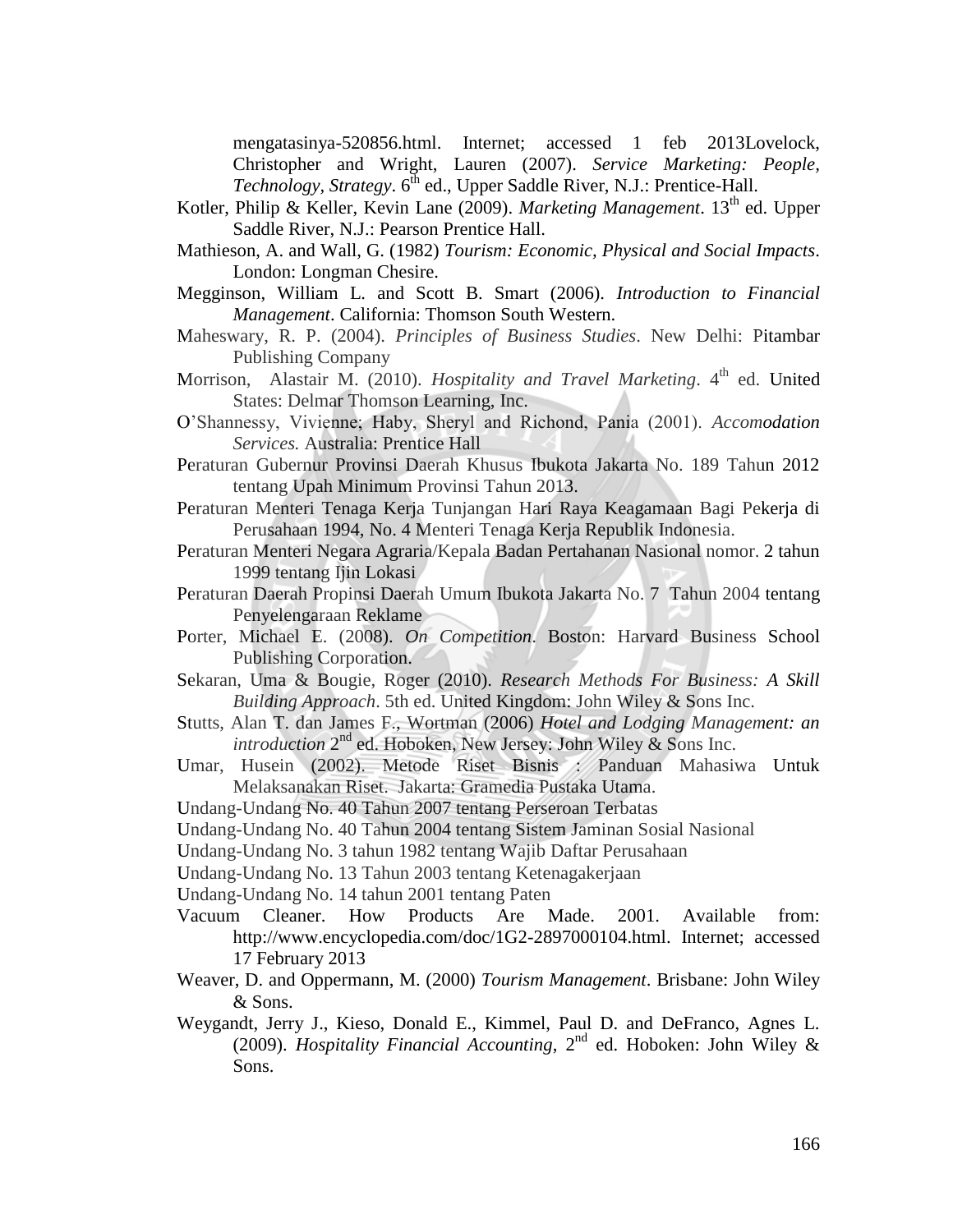mengatasinya-520856.html. Internet; accessed 1 feb 2013Lovelock, Christopher and Wright, Lauren (2007). *Service Marketing: People, Technology, Strategy.* 6<sup>th</sup> ed., Upper Saddle River, N.J.: Prentice-Hall.

- Kotler, Philip & Keller, Kevin Lane (2009). *Marketing Management*. 13<sup>th</sup> ed. Upper Saddle River, N.J.: Pearson Prentice Hall.
- Mathieson, A. and Wall, G. (1982) *Tourism: Economic, Physical and Social Impacts*. London: Longman Chesire.
- Megginson, William L. and Scott B. Smart (2006). *Introduction to Financial Management*. California: Thomson South Western.
- Maheswary, R. P. (2004). *Principles of Business Studies*. New Delhi: Pitambar Publishing Company
- Morrison, Alastair M. (2010). *Hospitality and Travel Marketing*. 4<sup>th</sup> ed. United States: Delmar Thomson Learning, Inc.
- O'Shannessy, Vivienne; Haby, Sheryl and Richond, Pania (2001). *Accomodation Services.* Australia: Prentice Hall
- Peraturan Gubernur Provinsi Daerah Khusus Ibukota Jakarta No. 189 Tahun 2012 tentang Upah Minimum Provinsi Tahun 2013.
- Peraturan Menteri Tenaga Kerja Tunjangan Hari Raya Keagamaan Bagi Pekerja di Perusahaan 1994, No. 4 Menteri Tenaga Kerja Republik Indonesia.
- Peraturan Menteri Negara Agraria/Kepala Badan Pertahanan Nasional nomor. 2 tahun 1999 tentang Ijin Lokasi
- Peraturan Daerah Propinsi Daerah Umum Ibukota Jakarta No. 7 Tahun 2004 tentang Penyelengaraan Reklame
- Porter, Michael E. (2008). *On Competition*. Boston: Harvard Business School Publishing Corporation.
- Sekaran, Uma & Bougie, Roger (2010). *Research Methods For Business: A Skill Building Approach*. 5th ed. United Kingdom: John Wiley & Sons Inc.
- Stutts, Alan T. dan James F., Wortman (2006) *Hotel and Lodging Management: an*  introduction 2<sup>nd</sup> ed. Hoboken, New Jersey: John Wiley & Sons Inc.
- Umar, Husein (2002). Metode Riset Bisnis : Panduan Mahasiwa Untuk Melaksanakan Riset. Jakarta: Gramedia Pustaka Utama.
- Undang-Undang No. 40 Tahun 2007 tentang Perseroan Terbatas
- Undang-Undang No. 40 Tahun 2004 tentang Sistem Jaminan Sosial Nasional
- Undang-Undang No. 3 tahun 1982 tentang Wajib Daftar Perusahaan
- Undang-Undang No. 13 Tahun 2003 tentang Ketenagakerjaan
- Undang-Undang No. 14 tahun 2001 tentang Paten
- Vacuum Cleaner. How Products Are Made. 2001. Available from: http://www.encyclopedia.com/doc/1G2-2897000104.html. Internet; accessed 17 February 2013
- Weaver, D. and Oppermann, M. (2000) *Tourism Management*. Brisbane: John Wiley & Sons.
- Weygandt, Jerry J., Kieso, Donald E., Kimmel, Paul D. and DeFranco, Agnes L. (2009). *Hospitality Financial Accounting*, 2nd ed. Hoboken: John Wiley & Sons.